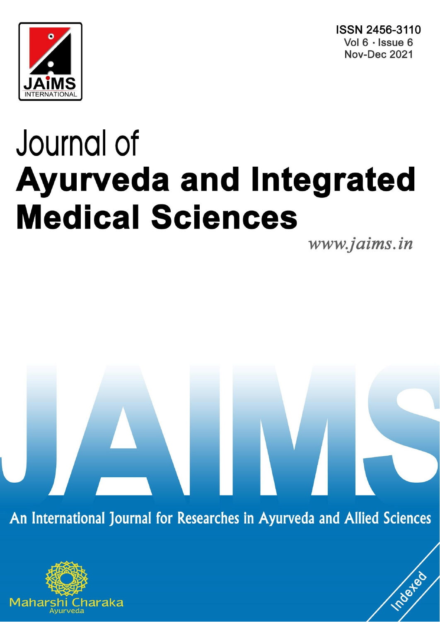ISSN 2456-3110 Vol 6 · Issue 6 **Nov-Dec 2021** 



# Journal of **Ayurveda and Integrated Medical Sciences**

www.jaims.in

**Indexed** 

An International Journal for Researches in Ayurveda and Allied Sciences

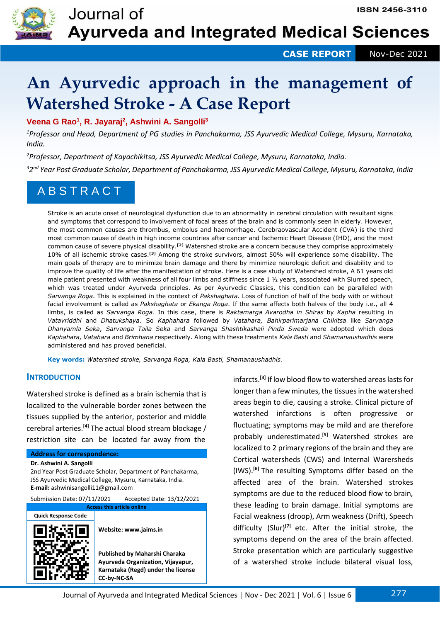

## **An Ayurvedic approach in the management of Watershed Stroke - A Case Report**

**Veena G Rao<sup>1</sup> , R. Jayaraj<sup>2</sup> , Ashwini A. Sangolli<sup>3</sup>**

*<sup>1</sup>Professor and Head, Department of PG studies in Panchakarma, JSS Ayurvedic Medical College, Mysuru, Karnataka, India.*

*<sup>2</sup>Professor, Department of Kayachikitsa, JSS Ayurvedic Medical College, Mysuru, Karnataka, India. 32 nd Year Post Graduate Scholar, Department of Panchakarma, JSS Ayurvedic Medical College, Mysuru, Karnataka, India*

## A B S T R A C T

Stroke is an acute onset of neurological dysfunction due to an abnormality in cerebral circulation with resultant signs and symptoms that correspond to involvement of focal areas of the brain and is commonly seen in elderly. However, the most common causes are thrombus, embolus and haemorrhage. Cerebraovascular Accident (CVA) is the third most common cause of death in high income countries after cancer and Ischemic Heart Disease (IHD), and the most common cause of severe physical disability.**[2]** Watershed stroke are a concern because they comprise approximately 10% of all ischemic stroke cases.**[3]** Among the stroke survivors, almost 50% will experience some disability. The main goals of therapy are to minimize brain damage and there by minimize neurologic deficit and disability and to improve the quality of life after the manifestation of stroke. Here is a case study of Watershed stroke, A 61 years old male patient presented with weakness of all four limbs and stiffness since 1 1/2 years, associated with Slurred speech, which was treated under Ayurveda principles. As per Ayurvedic Classics, this condition can be paralleled with *Sarvanga Roga*. This is explained in the context of *Pakshaghata*. Loss of function of half of the body with or without facial involvement is called as *Pakshaghata* or *Ekanga Roga*. If the same affects both halves of the body i.e., all 4 limbs, is called as *Sarvanga Roga*. In this case, there is *Raktamarga Avarodha in Shiras* by *Kapha* resulting in *Vatavriddhi* and *Dhatukshaya*. So *Kaphahara* followed by *Vatahara, Bahirparimarjana Chikitsa* like *Sarvanga Dhanyamla Seka*, *Sarvanga Taila Seka* and *Sarvanga Shashtikashali Pinda Sweda* were adopted which does *Kaphahara, Vatahara* and *Brimhana* respectively. Along with these treatments *Kala Basti* and *Shamanaushadhis* were administered and has proved beneficial.

**Key words:** *Watershed stroke, Sarvanga Roga, Kala Basti, Shamanaushadhis.*

#### **INTRODUCTION**

Watershed stroke is defined as a brain ischemia that is localized to the vulnerable border zones between the tissues supplied by the anterior, posterior and middle cerebral arteries.**[4]** The actual blood stream blockage / restriction site can be located far away from the

#### **Address for correspondence:**

**Dr. Ashwini A. Sangolli**

2nd Year Post Graduate Scholar, Department of Panchakarma, JSS Ayurvedic Medical College, Mysuru, Karnataka, India. **E-mail:** ashwinisangolli11@gmail.com

Submission Date: 07/11/2021 Accepted Date: 13/12/2021 **Access this article online**

**Quick Response Code**



**Website: www.jaims.in Published by Maharshi Charaka Ayurveda Organization, Vijayapur, Karnataka (Regd) under the license CC-by-NC-SA**

infarcts.**[3]** If low blood flow to watershed areas lasts for longer than a few minutes, the tissues in the watershed areas begin to die, causing a stroke. Clinical picture of watershed infarctions is often progressive or fluctuating; symptoms may be mild and are therefore probably underestimated.**[5]** Watershed strokes are localized to 2 primary regions of the brain and they are Cortical watersheds (CWS) and Internal Warersheds (IWS).**[6]** The resulting Symptoms differ based on the affected area of the brain. Watershed strokes symptoms are due to the reduced blood flow to brain, these leading to brain damage. Initial symptoms are Facial weakness (droop), Arm weakness (Drift), Speech difficulty (Slur)**[7]** etc. After the initial stroke, the symptoms depend on the area of the brain affected. Stroke presentation which are particularly suggestive of a watershed stroke include bilateral visual loss,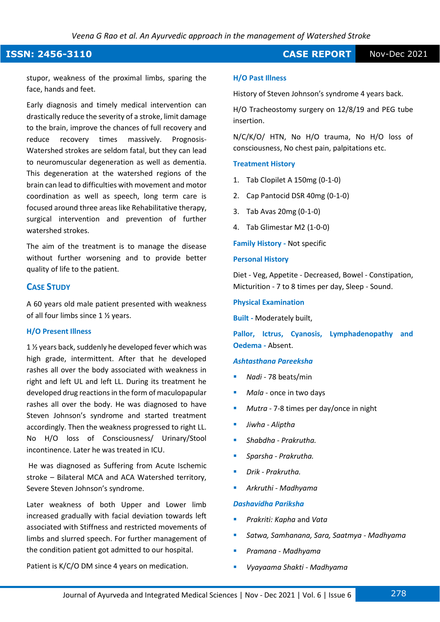**ISSN: 2456-3110** CASE REPORT Nov-Dec 2021

stupor, weakness of the proximal limbs, sparing the face, hands and feet.

Early diagnosis and timely medical intervention can drastically reduce the severity of a stroke, limit damage to the brain, improve the chances of full recovery and reduce recovery times massively. Prognosis-Watershed strokes are seldom fatal, but they can lead to neuromuscular degeneration as well as dementia. This degeneration at the watershed regions of the brain can lead to difficulties with movement and motor coordination as well as speech, long term care is focused around three areas like Rehabilitative therapy, surgical intervention and prevention of further watershed strokes.

The aim of the treatment is to manage the disease without further worsening and to provide better quality of life to the patient.

### **CASE STUDY**

A 60 years old male patient presented with weakness of all four limbs since 1 ½ years.

#### **H/O Present Illness**

1 ½ years back, suddenly he developed fever which was high grade, intermittent. After that he developed rashes all over the body associated with weakness in right and left UL and left LL. During its treatment he developed drug reactions in the form of maculopapular rashes all over the body. He was diagnosed to have Steven Johnson's syndrome and started treatment accordingly. Then the weakness progressed to right LL. No H/O loss of Consciousness/ Urinary/Stool incontinence. Later he was treated in ICU.

He was diagnosed as Suffering from Acute Ischemic stroke – Bilateral MCA and ACA Watershed territory, Severe Steven Johnson's syndrome.

Later weakness of both Upper and Lower limb increased gradually with facial deviation towards left associated with Stiffness and restricted movements of limbs and slurred speech. For further management of the condition patient got admitted to our hospital.

Patient is K/C/O DM since 4 years on medication.

#### **H/O Past Illness**

History of Steven Johnson's syndrome 4 years back.

H/O Tracheostomy surgery on 12/8/19 and PEG tube insertion.

N/C/K/O/ HTN, No H/O trauma, No H/O loss of consciousness, No chest pain, palpitations etc.

#### **Treatment History**

- 1. Tab Clopilet A 150mg (0-1-0)
- 2. Cap Pantocid DSR 40mg (0-1-0)
- 3. Tab Avas 20mg (0-1-0)
- 4. Tab Glimestar M2 (1-0-0)

**Family History -** Not specific

#### **Personal History**

Diet - Veg, Appetite - Decreased, Bowel - Constipation, Micturition - 7 to 8 times per day, Sleep - Sound.

#### **Physical Examination**

**Built -** Moderately built,

**Pallor, Ictrus, Cyanosis, Lymphadenopathy and Oedema -** Absent.

#### *Ashtasthana Pareeksha*

- *Nadi -* 78 beats/min
- Mala once in two days
- Mutra 7-8 times per day/once in night
- *Jiwha - Aliptha*
- *Shabdha - Prakrutha.*
- *Sparsha - Prakrutha.*
- *Drik - Prakrutha.*
- *Arkruthi - Madhyama*

#### *Dashavidha Pariksha*

- *Prakriti: Kapha* and *Vata*
- *Satwa, Samhanana, Sara, Saatmya - Madhyama*
- *Pramana - Madhyama*
- *Vyayaama Shakti - Madhyama*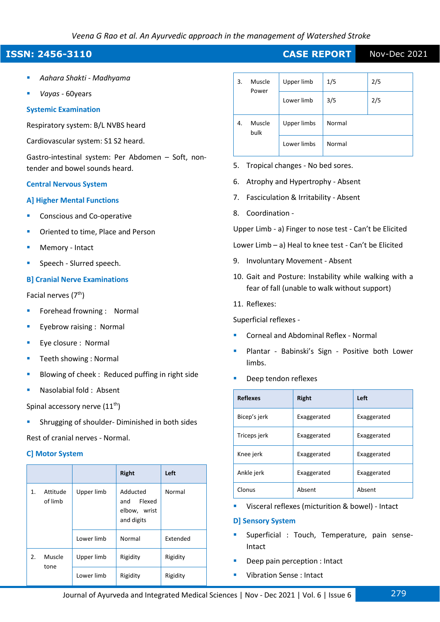## **ISSN: 2456-3110** CASE REPORT Nov-Dec 2021

- *Aahara Shakti - Madhyama*
- *Vayas -* 60years

#### **Systemic Examination**

Respiratory system: B/L NVBS heard

Cardiovascular system: S1 S2 heard.

Gastro-intestinal system: Per Abdomen – Soft, nontender and bowel sounds heard.

#### **Central Nervous System**

#### **A] Higher Mental Functions**

- Conscious and Co-operative
- Oriented to time, Place and Person
- Memory Intact
- Speech Slurred speech.

#### **B] Cranial Nerve Examinations**

Facial nerves (7<sup>th</sup>)

- Forehead frowning : Normal
- Eyebrow raising : Normal
- Eye closure : Normal
- Teeth showing : Normal
- Blowing of cheek : Reduced puffing in right side
- Nasolabial fold : Absent

Spinal accessory nerve  $(11<sup>th</sup>)$ 

Shrugging of shoulder- Diminished in both sides Rest of cranial nerves - Normal.

#### **C] Motor System**

|                           |                |            | <b>Right</b>                                            | Left     |
|---------------------------|----------------|------------|---------------------------------------------------------|----------|
| Attitude<br>1.<br>of limb |                | Upper limb | Adducted<br>Flexed<br>and<br>elbow, wrist<br>and digits | Normal   |
|                           |                | Lower limb | Normal                                                  | Extended |
| 2.                        | Muscle<br>tone | Upper limb | Rigidity                                                | Rigidity |
|                           |                | Lower limb | Rigidity                                                | Rigidity |

| Muscle<br>3.<br>Power | Upper limb | 1/5         | 2/5    |  |
|-----------------------|------------|-------------|--------|--|
|                       | Lower limb | 3/5         | 2/5    |  |
| Muscle<br>4.<br>bulk  |            | Upper limbs | Normal |  |
|                       |            | Lower limbs | Normal |  |

- 5. Tropical changes No bed sores.
- 6. Atrophy and Hypertrophy Absent
- 7. Fasciculation & Irritability Absent
- 8. Coordination -

Upper Limb - a) Finger to nose test - Can't be Elicited

Lower Limb – a) Heal to knee test - Can't be Elicited

- 9. Involuntary Movement Absent
- 10. Gait and Posture: Instability while walking with a fear of fall (unable to walk without support)
- 11. Reflexes:

Superficial reflexes -

- Corneal and Abdominal Reflex Normal
- Plantar Babinski's Sign Positive both Lower limbs.
- Deep tendon reflexes

| <b>Reflexes</b> | <b>Right</b> | Left        |
|-----------------|--------------|-------------|
| Bicep's jerk    | Exaggerated  | Exaggerated |
| Triceps jerk    | Exaggerated  | Exaggerated |
| Knee jerk       | Exaggerated  | Exaggerated |
| Ankle jerk      | Exaggerated  | Exaggerated |
| Clonus          | Absent       | Absent      |

■ Visceral reflexes (micturition & bowel) - Intact

#### **D] Sensory System**

- Superficial : Touch, Temperature, pain sense-Intact
- Deep pain perception : Intact
- Vibration Sense : Intact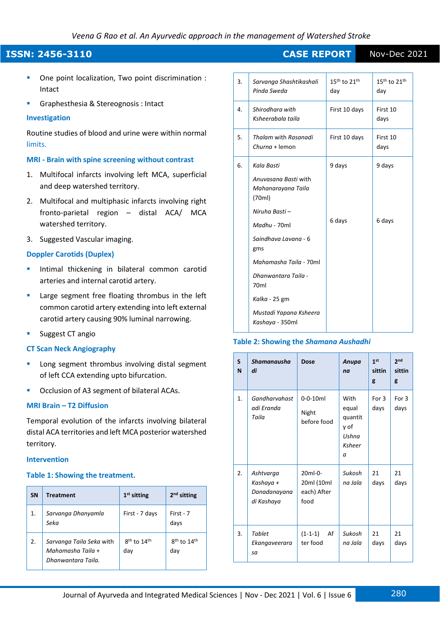- One point localization, Two point discrimination : Intact
- Graphesthesia & Stereognosis : Intact

#### **Investigation**

Routine studies of blood and urine were within normal limits.

#### **MRI - Brain with spine screening without contrast**

- 1. Multifocal infarcts involving left MCA, superficial and deep watershed territory.
- 2. Multifocal and multiphasic infarcts involving right fronto-parietal region – distal ACA/ MCA watershed territory.
- 3. Suggested Vascular imaging.

#### **Doppler Carotids (Duplex)**

- Intimal thickening in bilateral common carotid arteries and internal carotid artery.
- Large segment free floating thrombus in the left common carotid artery extending into left external carotid artery causing 90% luminal narrowing.
- Suggest CT angio

#### **CT Scan Neck Angiography**

- Long segment thrombus involving distal segment of left CCA extending upto bifurcation.
- Occlusion of A3 segment of bilateral ACAs.

#### **MRI Brain – T2 Diffusion**

Temporal evolution of the infarcts involving bilateral distal ACA territories and left MCA posterior watershed territory.

#### **Intervention**

#### **Table 1: Showing the treatment.**

| <b>SN</b> | <b>Treatment</b>                                                    | $1st$ sitting                              | 2 <sup>nd</sup> sitting |
|-----------|---------------------------------------------------------------------|--------------------------------------------|-------------------------|
| 1.        | Sarvanga Dhanyamla<br>Seka                                          | First - 7 days                             | First - 7<br>days       |
| 2.        | Sarvanga Taila Seka with<br>Mahamasha Taila +<br>Dhanwantara Taila. | 8 <sup>th</sup> to 14 <sup>th</sup><br>day | $8th$ to $14th$<br>day  |

| 3. | Sarvanga Shashtikashali<br>Pinda Sweda               | $15th$ to $21th$<br>day | $15th$ to $21th$<br>day |
|----|------------------------------------------------------|-------------------------|-------------------------|
| 4. | Shirodhara with<br>Ksheerabala taila                 | First 10 days           | First 10<br>days        |
| 5. | <b>Thalam with Rasanadi</b><br>$Churna + lemon$      | First 10 days           | First 10<br>days        |
| 6. | Kala Basti                                           | 9 days                  | 9 days                  |
|    | Anuvasana Basti with<br>Mahanarayana Taila<br>(70ml) |                         |                         |
|    | Niruha Basti -                                       |                         |                         |
|    | Madhu - 70ml                                         | 6 days                  | 6 days                  |
|    | Saindhava Lavana - 6<br>gms                          |                         |                         |
|    | Mahamasha Taila - 70ml                               |                         |                         |
|    | Dhanwantara Taila -<br>70 <sub>ml</sub>              |                         |                         |
|    | Kalka - 25 gm                                        |                         |                         |
|    | Mustadi Yapana Ksheera<br>Kashaya - 350ml            |                         |                         |
|    |                                                      |                         |                         |

#### **Table 2: Showing the** *Shamana Aushadhi*

| S<br>N         | <b>Shamanausha</b><br>di                             | Dose                                         | Anupa<br>na                                                     | 1st<br>sittin<br>g | 2 <sub>nd</sub><br>sittin<br>g |
|----------------|------------------------------------------------------|----------------------------------------------|-----------------------------------------------------------------|--------------------|--------------------------------|
| $\mathbf{1}$ . | Gandharvahast<br>adi Eranda<br>Taila                 | $0 - 0 - 10$ ml<br>Night<br>before food      | With<br>equal<br>quantit<br>y of<br>Ushna<br>Ksheer<br>$\alpha$ | For 3<br>days      | For 3<br>days                  |
| 2.             | Ashtvarga<br>Kashaya +<br>Danadanayana<br>di Kashaya | 20ml-0-<br>20ml (10ml<br>each) After<br>food | Sukosh<br>na Jala                                               | 21<br>days         | 21<br>days                     |
| 3.             | Tablet<br>Ekangaveerara<br>sa                        | $(1-1-1)$<br>Af<br>ter food                  | Sukosh<br>na Jala                                               | 21<br>days         | 21<br>days                     |

**ISSN: 2456-3110** CASE REPORT Nov-Dec 2021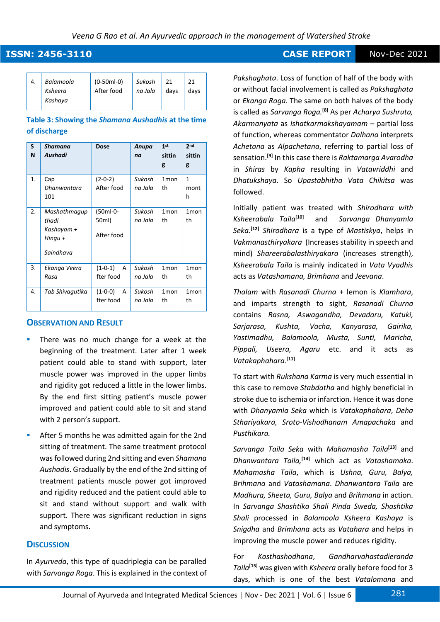**ISSN: 2456-3110** CASE REPORT Nov-Dec 2021

| 4. | Balamoola<br>Ksheera<br>Kashaya | $(0-50ml-0)$<br>After food | Sukosh<br>na Jala | days | 21<br>davs |
|----|---------------------------------|----------------------------|-------------------|------|------------|
|----|---------------------------------|----------------------------|-------------------|------|------------|

### **Table 3: Showing the** *Shamana Aushadhis* **at the time of discharge**

| S<br>N         | <b>Shamana</b><br>Aushadi                                   | <b>Dose</b>                     | Anupa<br>na       | 1 <sup>st</sup><br>sittin<br>g | 2 <sub>nd</sub><br>sittin<br>g |
|----------------|-------------------------------------------------------------|---------------------------------|-------------------|--------------------------------|--------------------------------|
| $\mathbf{1}$ . | Cap<br>Dhanwantara<br>101                                   | $(2-0-2)$<br>After food         | Sukosh<br>na Jala | 1 <sub>mon</sub><br>th         | 1<br>mont<br>h                 |
| 2.             | Mashathmaqup<br>thadi<br>Kashayam +<br>Hingu +<br>Saindhava | (50ml-0-<br>50ml)<br>After food | Sukosh<br>na Jala | 1 <sub>mon</sub><br>th         | 1 <sub>mon</sub><br>th         |
| 3.             | Ekanga Veera<br>Rasa                                        | $(1 - 0 - 1)$<br>A<br>fter food | Sukosh<br>na Jala | $1$ mon<br>th                  | 1 <sub>mon</sub><br>th         |
| 4.             | Tab Shivaqutika                                             | $(1 - 0 - 0)$<br>A<br>fter food | Sukosh<br>na Jala | 1 <sub>mon</sub><br>th         | 1 <sub>mon</sub><br>th         |

### **OBSERVATION AND RESULT**

- There was no much change for a week at the beginning of the treatment. Later after 1 week patient could able to stand with support, later muscle power was improved in the upper limbs and rigidity got reduced a little in the lower limbs. By the end first sitting patient's muscle power improved and patient could able to sit and stand with 2 person's support.
- After 5 months he was admitted again for the 2nd sitting of treatment. The same treatment protocol was followed during 2nd sitting and even *Shamana Aushadis*. Gradually by the end of the 2nd sitting of treatment patients muscle power got improved and rigidity reduced and the patient could able to sit and stand without support and walk with support. There was significant reduction in signs and symptoms.

#### **DISCUSSION**

In *Ayurveda*, this type of quadriplegia can be paralled with *Sarvanga Roga*. This is explained in the context of

*Pakshaghata*. Loss of function of half of the body with or without facial involvement is called as *Pakshaghata* or *Ekanga Roga*. The same on both halves of the body is called as *Sarvanga Roga.***[8]** As per *Acharya Sushruta, Akarmanyata* as *Ishatkarmakshayamam –* partial loss of function, whereas commentator *Dalhana* interprets *Achetana* as *Alpachetana*, referring to partial loss of sensation.**[9]** In this case there is *Raktamarga Avarodha*  in *Shiras* by *Kapha* resulting in *Vatavriddhi* and *Dhatukshaya*. So *Upastabhitha Vata Chikitsa* was followed.

Initially patient was treated with *Shirodhara with Ksheerabala Taila***[10]** and *Sarvanga Dhanyamla Seka.***[12]** *Shirodhara* is a type of *Mastiskya*, helps in *Vakmanasthiryakara* (Increases stability in speech and mind) *Shareerabalasthiryakara* (increases strength), *Ksheerabala Taila* is mainly indicated in *Vata Vyadhis* acts as *Vatashamana, Brimhana* and *Jeevana*.

*Thalam* with *Rasanadi Churna* + lemon is *Klamhara*, and imparts strength to sight, *Rasanadi Churna* contains *Rasna, Aswagandha, Devadaru, Katuki, Sarjarasa, Kushta, Vacha, Kanyarasa, Gairika, Yastimadhu, Balamoola, Musta, Sunti, Maricha, Pippali, Useera, Agaru* etc. and it acts as *Vatakaphahara.***[11]**

To start with *Rukshana Karma* is very much essential in this case to remove *Stabdatha* and highly beneficial in stroke due to ischemia or infarction. Hence it was done with *Dhanyamla Seka* which is *Vatakaphahara*, *Deha Sthariyakara, Sroto-Vishodhanam Amapachaka* and *Pusthikara.*

*Sarvanga Taila Seka* with *Mahamasha Taila***[13]** and *Dhanwantara Taila,***[14]** which act as *Vatashamaka*. *Mahamasha Taila*, which is *Ushna, Guru, Balya, Brihmana* and *Vatashamana*. *Dhanwantara Taila* are *Madhura, Sheeta, Guru, Balya* and *Brihmana* in action. In *Sarvanga Shashtika Shali Pinda Sweda, Shashtika Shali* processed in *Balamoola Ksheera Kashaya* is *Snigdha* and *Brimhana* acts as *Vatahara* and helps in improving the muscle power and reduces rigidity.

For *Kosthashodhana*, *Gandharvahastadieranda Taila***[15]** was given with *Ksheera* orally before food for 3 days, which is one of the best *Vatalomana* and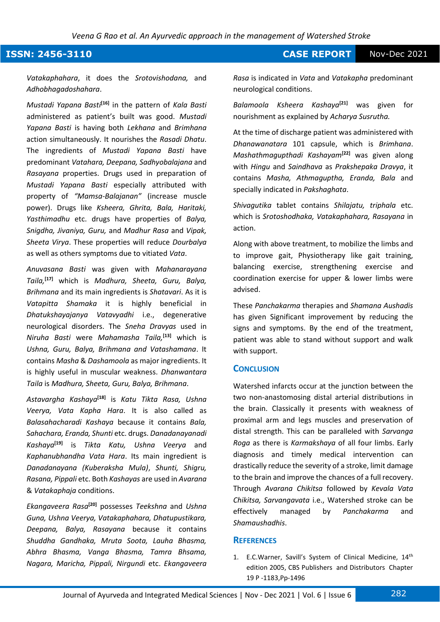## **ISSN: 2456-3110** CASE REPORT Nov-Dec 2021

*Vatakaphahara*, it does the *Srotovishodana,* and *Adhobhagadoshahara*.

*Mustadi Yapana Basti***[16]** in the pattern of *Kala Basti* administered as patient's built was good. *Mustadi Yapana Basti* is having both *Lekhana* and *Brimhana* action simultaneously. It nourishes the *Rasadi Dhatu*. The ingredients of *Mustadi Yapana Basti* have predominant *Vatahara, Deepana, Sadhyobalajana* and *Rasayana* properties. Drugs used in preparation of *Mustadi Yapana Basti* especially attributed with property of *"Mamsa-Balajanan"* (increase muscle power). Drugs like *Ksheera, Ghrita, Bala, Haritaki, Yasthimadhu* etc. drugs have properties of *Balya, Snigdha, Jivaniya, Guru,* and *Madhur Rasa* and *Vipak, Sheeta Virya*. These properties will reduce *Dourbalya* as well as others symptoms due to vitiated *Vata*.

*Anuvasana Basti* was given with *Mahanarayana Taila,***[17]** which is *Madhura, Sheeta, Guru, Balya, Brihmana* and its main ingredients is *Shatavari*. As it is *Vatapitta Shamaka* it is highly beneficial in *Dhatukshayajanya Vatavyadhi* i.e., degenerative neurological disorders. The *Sneha Dravyas* used in *Niruha Basti* were *Mahamasha Taila,***[13]** which is *Ushna, Guru, Balya, Brihmana and Vatashamana*. It contains *Masha* & *Dashamoola* as major ingredients. It is highly useful in muscular weakness. *Dhanwantara Taila* is *Madhura, Sheeta, Guru, Balya, Brihmana*.

*Astavargha Kashaya***[18]** is *Katu Tikta Rasa, Ushna Veerya, Vata Kapha Hara*. It is also called as *Balasahacharadi Kashaya* because it contains *Bala, Sahachara, Eranda, Shunti* etc. drugs. *Danadanayanadi Kashaya***[19]** is *Tikta Katu, Ushna Veerya* and *Kaphanubhandha Vata Hara*. Its main ingredient is *Danadanayana (Kuberaksha Mula)*, *Shunti, Shigru, Rasana, Pippali* etc. Both *Kashayas* are used in *Avarana*  & *Vatakaphaja* conditions.

*Ekangaveera Rasa***[20]** possesses *Teekshna* and *Ushna Guna, Ushna Veerya, Vatakaphahara, Dhatupustikara, Deepana, Balya, Rasayana* because it contains *Shuddha Gandhaka, Mruta Soota, Lauha Bhasma, Abhra Bhasma, Vanga Bhasma, Tamra Bhsama, Nagara, Maricha, Pippali, Nirgundi* etc. *Ekangaveera* 

*Rasa* is indicated in *Vata* and *Vatakapha* predominant neurological conditions.

*Balamoola Ksheera Kashaya***[21]** was given for nourishment as explained by *Acharya Susrutha.*

At the time of discharge patient was administered with *Dhanawanatara* 101 capsule, which is *Brimhana*. *Mashathmagupthadi Kashayam***[22]** was given along with *Hingu* and *Saindhava* as *Prakshepaka Dravya*, it contains *Masha, Athmaguptha, Eranda, Bala* and specially indicated in *Pakshaghata*.

*Shivagutika* tablet contains *Shilajatu, triphala* etc. which is *Srotoshodhaka, Vatakaphahara, Rasayana* in action.

Along with above treatment, to mobilize the limbs and to improve gait, Physiotherapy like gait training, balancing exercise, strengthening exercise and coordination exercise for upper & lower limbs were advised.

These *Panchakarma* therapies and *Shamana Aushadis* has given Significant improvement by reducing the signs and symptoms. By the end of the treatment, patient was able to stand without support and walk with support.

#### **CONCLUSION**

Watershed infarcts occur at the junction between the two non-anastomosing distal arterial distributions in the brain. Classically it presents with weakness of proximal arm and legs muscles and preservation of distal strength. This can be paralleled with *Sarvanga Roga* as there is *Karmakshaya* of all four limbs. Early diagnosis and timely medical intervention can drastically reduce the severity of a stroke, limit damage to the brain and improve the chances of a full recovery. Through *Avarana Chikitsa* followed by *Kevala Vata Chikitsa, Sarvangavata* i.e., Watershed stroke can be effectively managed by *Panchakarma* and *Shamaushadhis*.

#### **REFERENCES**

1. E.C. Warner, Savill's System of Clinical Medicine, 14<sup>th</sup> edition 2005, CBS Publishers and Distributors Chapter 19 P -1183,Pp-1496